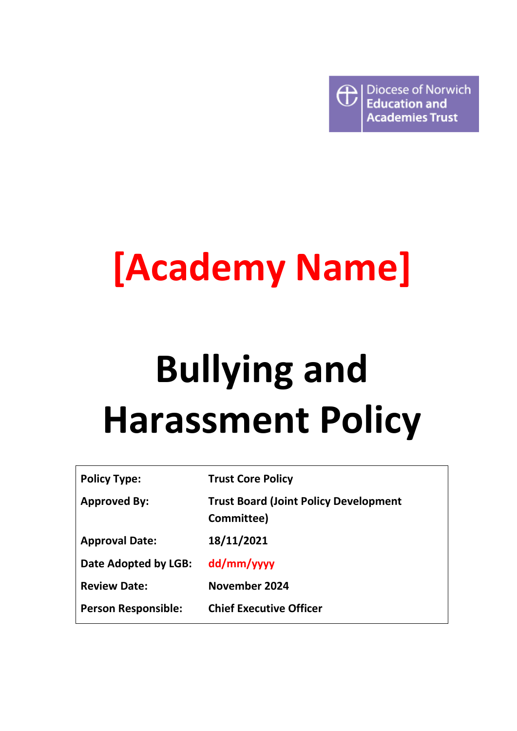

# **[Academy Name]**

# **Bullying and Harassment Policy**

| <b>Policy Type:</b>        | <b>Trust Core Policy</b>                                   |
|----------------------------|------------------------------------------------------------|
| <b>Approved By:</b>        | <b>Trust Board (Joint Policy Development</b><br>Committee) |
| <b>Approval Date:</b>      | 18/11/2021                                                 |
| Date Adopted by LGB:       | dd/mm/yyyy                                                 |
| <b>Review Date:</b>        | November 2024                                              |
| <b>Person Responsible:</b> | <b>Chief Executive Officer</b>                             |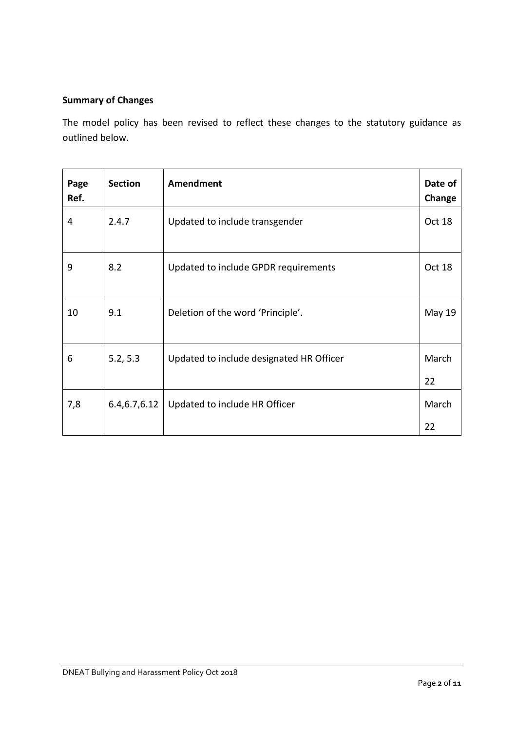# **Summary of Changes**

The model policy has been revised to reflect these changes to the statutory guidance as outlined below.

| Page<br>Ref. | <b>Section</b> | <b>Amendment</b>                         | Date of<br>Change |
|--------------|----------------|------------------------------------------|-------------------|
| 4            | 2.4.7          | Updated to include transgender           | Oct 18            |
| 9            | 8.2            | Updated to include GPDR requirements     | Oct 18            |
| 10           | 9.1            | Deletion of the word 'Principle'.        | <b>May 19</b>     |
| 6            | 5.2, 5.3       | Updated to include designated HR Officer | March<br>22       |
| 7,8          | 6.4, 6.7, 6.12 | Updated to include HR Officer            | March             |
|              |                |                                          | 22                |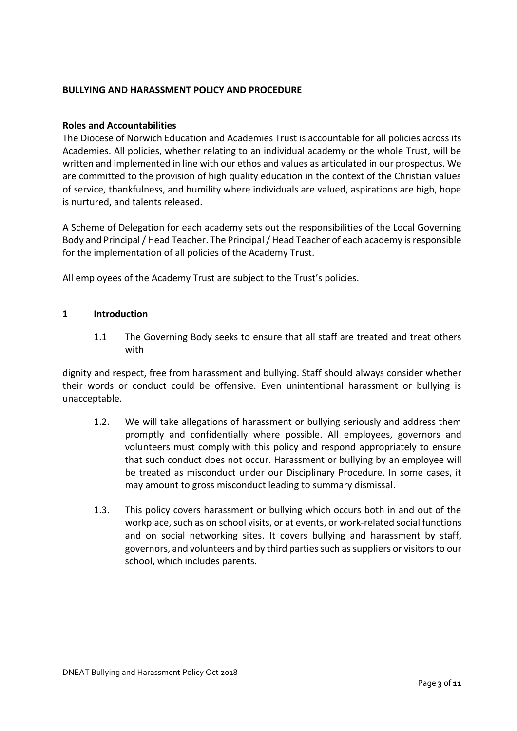# **BULLYING AND HARASSMENT POLICY AND PROCEDURE**

#### **Roles and Accountabilities**

The Diocese of Norwich Education and Academies Trust is accountable for all policies across its Academies. All policies, whether relating to an individual academy or the whole Trust, will be written and implemented in line with our ethos and values as articulated in our prospectus. We are committed to the provision of high quality education in the context of the Christian values of service, thankfulness, and humility where individuals are valued, aspirations are high, hope is nurtured, and talents released.

A Scheme of Delegation for each academy sets out the responsibilities of the Local Governing Body and Principal / Head Teacher. The Principal / Head Teacher of each academy is responsible for the implementation of all policies of the Academy Trust.

All employees of the Academy Trust are subject to the Trust's policies.

#### **1 Introduction**

1.1 The Governing Body seeks to ensure that all staff are treated and treat others with

dignity and respect, free from harassment and bullying. Staff should always consider whether their words or conduct could be offensive. Even unintentional harassment or bullying is unacceptable.

- 1.2. We will take allegations of harassment or bullying seriously and address them promptly and confidentially where possible. All employees, governors and volunteers must comply with this policy and respond appropriately to ensure that such conduct does not occur. Harassment or bullying by an employee will be treated as misconduct under our Disciplinary Procedure. In some cases, it may amount to gross misconduct leading to summary dismissal.
- 1.3. This policy covers harassment or bullying which occurs both in and out of the workplace, such as on school visits, or at events, or work-related social functions and on social networking sites. It covers bullying and harassment by staff, governors, and volunteers and by third parties such as suppliers or visitors to our school, which includes parents.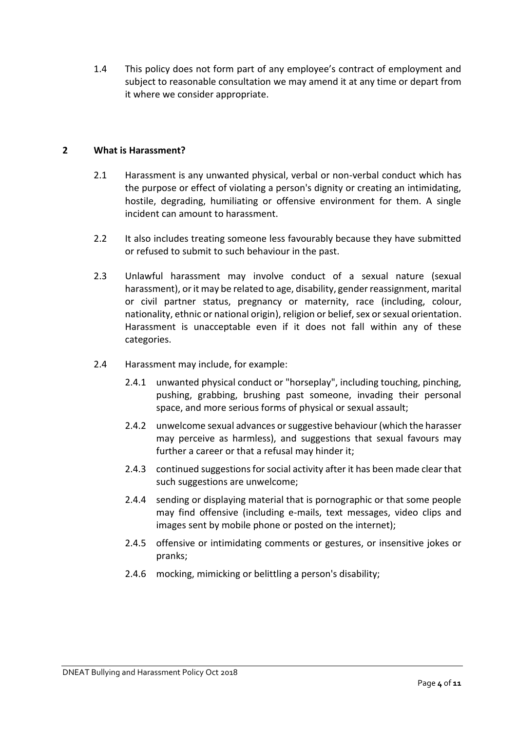1.4 This policy does not form part of any employee's contract of employment and subject to reasonable consultation we may amend it at any time or depart from it where we consider appropriate.

# **2 What is Harassment?**

- 2.1 Harassment is any unwanted physical, verbal or non-verbal conduct which has the purpose or effect of violating a person's dignity or creating an intimidating, hostile, degrading, humiliating or offensive environment for them. A single incident can amount to harassment.
- 2.2 It also includes treating someone less favourably because they have submitted or refused to submit to such behaviour in the past.
- 2.3 Unlawful harassment may involve conduct of a sexual nature (sexual harassment), or it may be related to age, disability, gender reassignment, marital or civil partner status, pregnancy or maternity, race (including, colour, nationality, ethnic or national origin), religion or belief, sex or sexual orientation. Harassment is unacceptable even if it does not fall within any of these categories.
- 2.4 Harassment may include, for example:
	- 2.4.1 unwanted physical conduct or "horseplay", including touching, pinching, pushing, grabbing, brushing past someone, invading their personal space, and more serious forms of physical or sexual assault;
	- 2.4.2 unwelcome sexual advances or suggestive behaviour (which the harasser may perceive as harmless), and suggestions that sexual favours may further a career or that a refusal may hinder it;
	- 2.4.3 continued suggestions for social activity after it has been made clear that such suggestions are unwelcome;
	- 2.4.4 sending or displaying material that is pornographic or that some people may find offensive (including e-mails, text messages, video clips and images sent by mobile phone or posted on the internet);
	- 2.4.5 offensive or intimidating comments or gestures, or insensitive jokes or pranks;
	- 2.4.6 mocking, mimicking or belittling a person's disability;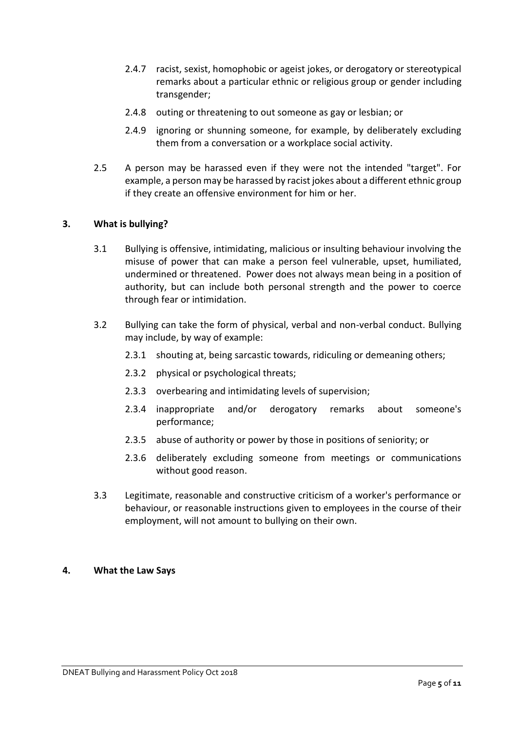- 2.4.7 racist, sexist, homophobic or ageist jokes, or derogatory or stereotypical remarks about a particular ethnic or religious group or gender including transgender;
- 2.4.8 outing or threatening to out someone as gay or lesbian; or
- 2.4.9 ignoring or shunning someone, for example, by deliberately excluding them from a conversation or a workplace social activity.
- 2.5 A person may be harassed even if they were not the intended "target". For example, a person may be harassed by racist jokes about a different ethnic group if they create an offensive environment for him or her.

# **3. What is bullying?**

- 3.1 Bullying is offensive, intimidating, malicious or insulting behaviour involving the misuse of power that can make a person feel vulnerable, upset, humiliated, undermined or threatened. Power does not always mean being in a position of authority, but can include both personal strength and the power to coerce through fear or intimidation.
- 3.2 Bullying can take the form of physical, verbal and non-verbal conduct. Bullying may include, by way of example:
	- 2.3.1 shouting at, being sarcastic towards, ridiculing or demeaning others;
	- 2.3.2 physical or psychological threats;
	- 2.3.3 overbearing and intimidating levels of supervision;
	- 2.3.4 inappropriate and/or derogatory remarks about someone's performance;
	- 2.3.5 abuse of authority or power by those in positions of seniority; or
	- 2.3.6 deliberately excluding someone from meetings or communications without good reason.
- 3.3 Legitimate, reasonable and constructive criticism of a worker's performance or behaviour, or reasonable instructions given to employees in the course of their employment, will not amount to bullying on their own.

#### **4. What the Law Says**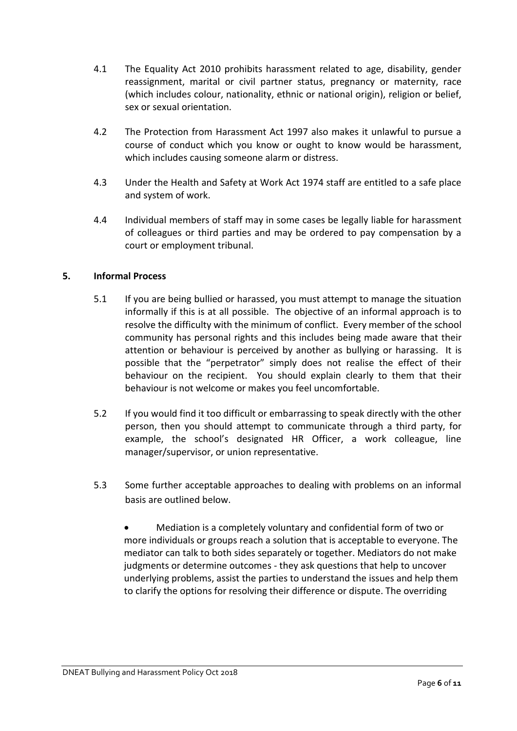- 4.1 The Equality Act 2010 prohibits harassment related to age, disability, gender reassignment, marital or civil partner status, pregnancy or maternity, race (which includes colour, nationality, ethnic or national origin), religion or belief, sex or sexual orientation.
- 4.2 The Protection from Harassment Act 1997 also makes it unlawful to pursue a course of conduct which you know or ought to know would be harassment, which includes causing someone alarm or distress.
- 4.3 Under the Health and Safety at Work Act 1974 staff are entitled to a safe place and system of work.
- 4.4 Individual members of staff may in some cases be legally liable for harassment of colleagues or third parties and may be ordered to pay compensation by a court or employment tribunal.

# **5. Informal Process**

- 5.1 If you are being bullied or harassed, you must attempt to manage the situation informally if this is at all possible. The objective of an informal approach is to resolve the difficulty with the minimum of conflict. Every member of the school community has personal rights and this includes being made aware that their attention or behaviour is perceived by another as bullying or harassing. It is possible that the "perpetrator" simply does not realise the effect of their behaviour on the recipient. You should explain clearly to them that their behaviour is not welcome or makes you feel uncomfortable.
- 5.2 If you would find it too difficult or embarrassing to speak directly with the other person, then you should attempt to communicate through a third party, for example, the school's designated HR Officer, a work colleague, line manager/supervisor, or union representative.
- 5.3 Some further acceptable approaches to dealing with problems on an informal basis are outlined below.
	- Mediation is a completely voluntary and confidential form of two or more individuals or groups reach a solution that is acceptable to everyone. The mediator can talk to both sides separately or together. Mediators do not make judgments or determine outcomes - they ask questions that help to uncover underlying problems, assist the parties to understand the issues and help them to clarify the options for resolving their difference or dispute. The overriding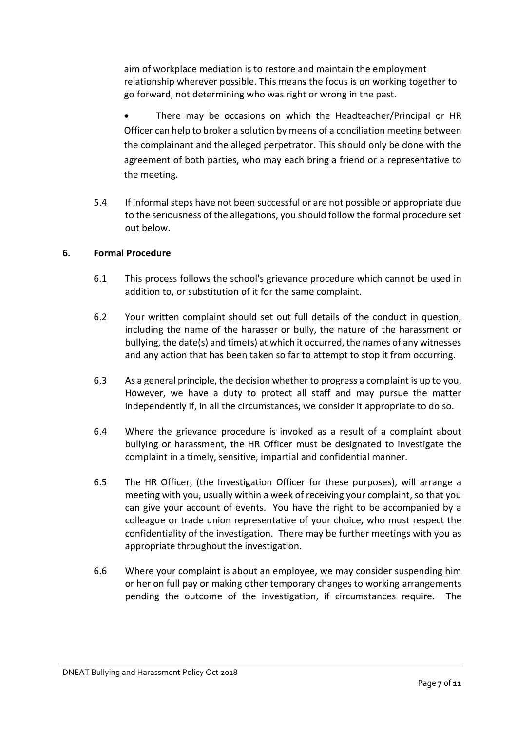aim of workplace mediation is to restore and maintain the employment relationship wherever possible. This means the focus is on working together to go forward, not determining who was right or wrong in the past.

• There may be occasions on which the Headteacher/Principal or HR Officer can help to broker a solution by means of a conciliation meeting between the complainant and the alleged perpetrator. This should only be done with the agreement of both parties, who may each bring a friend or a representative to the meeting.

5.4 If informal steps have not been successful or are not possible or appropriate due to the seriousness of the allegations, you should follow the formal procedure set out below.

# **6. Formal Procedure**

- 6.1 This process follows the school's grievance procedure which cannot be used in addition to, or substitution of it for the same complaint.
- 6.2 Your written complaint should set out full details of the conduct in question, including the name of the harasser or bully, the nature of the harassment or bullying, the date(s) and time(s) at which it occurred, the names of any witnesses and any action that has been taken so far to attempt to stop it from occurring.
- 6.3 As a general principle, the decision whether to progress a complaint is up to you. However, we have a duty to protect all staff and may pursue the matter independently if, in all the circumstances, we consider it appropriate to do so.
- 6.4 Where the grievance procedure is invoked as a result of a complaint about bullying or harassment, the HR Officer must be designated to investigate the complaint in a timely, sensitive, impartial and confidential manner.
- 6.5 The HR Officer, (the Investigation Officer for these purposes), will arrange a meeting with you, usually within a week of receiving your complaint, so that you can give your account of events. You have the right to be accompanied by a colleague or trade union representative of your choice, who must respect the confidentiality of the investigation. There may be further meetings with you as appropriate throughout the investigation.
- 6.6 Where your complaint is about an employee, we may consider suspending him or her on full pay or making other temporary changes to working arrangements pending the outcome of the investigation, if circumstances require. The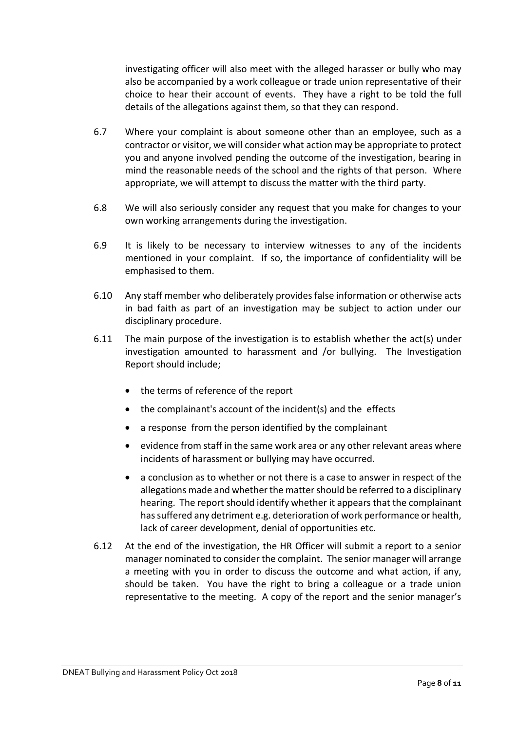investigating officer will also meet with the alleged harasser or bully who may also be accompanied by a work colleague or trade union representative of their choice to hear their account of events. They have a right to be told the full details of the allegations against them, so that they can respond.

- 6.7 Where your complaint is about someone other than an employee, such as a contractor or visitor, we will consider what action may be appropriate to protect you and anyone involved pending the outcome of the investigation, bearing in mind the reasonable needs of the school and the rights of that person. Where appropriate, we will attempt to discuss the matter with the third party.
- 6.8 We will also seriously consider any request that you make for changes to your own working arrangements during the investigation.
- 6.9 It is likely to be necessary to interview witnesses to any of the incidents mentioned in your complaint. If so, the importance of confidentiality will be emphasised to them.
- 6.10 Any staff member who deliberately provides false information or otherwise acts in bad faith as part of an investigation may be subject to action under our disciplinary procedure.
- 6.11 The main purpose of the investigation is to establish whether the act(s) under investigation amounted to harassment and /or bullying. The Investigation Report should include;
	- the terms of reference of the report
	- the complainant's account of the incident(s) and the effects
	- a response from the person identified by the complainant
	- evidence from staff in the same work area or any other relevant areas where incidents of harassment or bullying may have occurred.
	- a conclusion as to whether or not there is a case to answer in respect of the allegations made and whether the matter should be referred to a disciplinary hearing. The report should identify whether it appears that the complainant has suffered any detriment e.g. deterioration of work performance or health, lack of career development, denial of opportunities etc.
- 6.12 At the end of the investigation, the HR Officer will submit a report to a senior manager nominated to consider the complaint. The senior manager will arrange a meeting with you in order to discuss the outcome and what action, if any, should be taken. You have the right to bring a colleague or a trade union representative to the meeting. A copy of the report and the senior manager's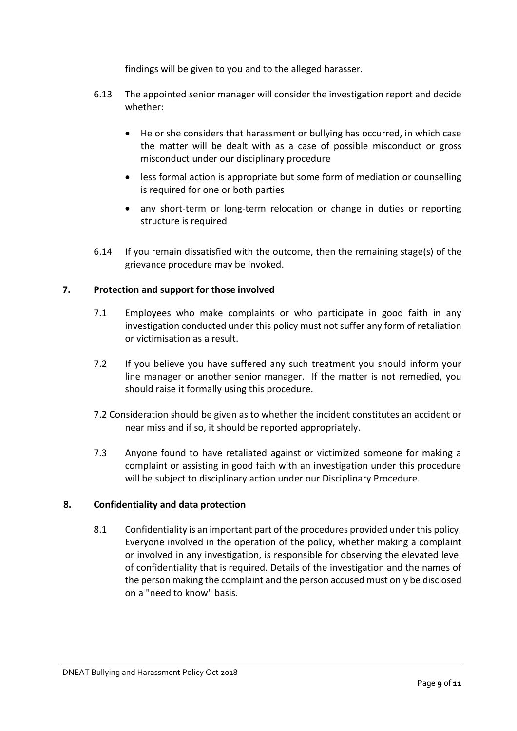findings will be given to you and to the alleged harasser.

- 6.13 The appointed senior manager will consider the investigation report and decide whether:
	- He or she considers that harassment or bullying has occurred, in which case the matter will be dealt with as a case of possible misconduct or gross misconduct under our disciplinary procedure
	- less formal action is appropriate but some form of mediation or counselling is required for one or both parties
	- any short-term or long-term relocation or change in duties or reporting structure is required
- 6.14 If you remain dissatisfied with the outcome, then the remaining stage(s) of the grievance procedure may be invoked.

# **7. Protection and support for those involved**

- 7.1 Employees who make complaints or who participate in good faith in any investigation conducted under this policy must not suffer any form of retaliation or victimisation as a result.
- 7.2 If you believe you have suffered any such treatment you should inform your line manager or another senior manager. If the matter is not remedied, you should raise it formally using this procedure.
- 7.2 Consideration should be given as to whether the incident constitutes an accident or near miss and if so, it should be reported appropriately.
- 7.3 Anyone found to have retaliated against or victimized someone for making a complaint or assisting in good faith with an investigation under this procedure will be subject to disciplinary action under our Disciplinary Procedure.

#### **8. Confidentiality and data protection**

8.1 Confidentiality is an important part of the procedures provided under this policy. Everyone involved in the operation of the policy, whether making a complaint or involved in any investigation, is responsible for observing the elevated level of confidentiality that is required. Details of the investigation and the names of the person making the complaint and the person accused must only be disclosed on a "need to know" basis.